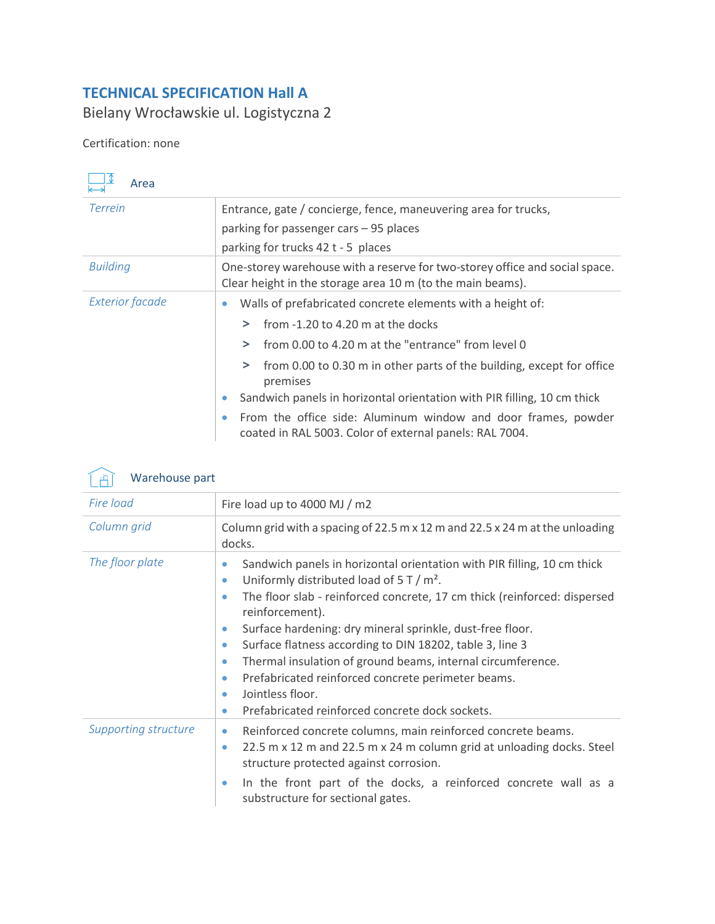## **TECHNICAL SPECIFICATION Hall A**

Bielany Wrocławskie ul. Logistyczna 2

## Certification: none

| Area                   |                                                                                                                                           |
|------------------------|-------------------------------------------------------------------------------------------------------------------------------------------|
| <b>Terrein</b>         | Entrance, gate / concierge, fence, maneuvering area for trucks,                                                                           |
|                        | parking for passenger cars - 95 places                                                                                                    |
|                        | parking for trucks 42 t - 5 places                                                                                                        |
| <b>Building</b>        | One-storey warehouse with a reserve for two-storey office and social space.<br>Clear height in the storage area 10 m (to the main beams). |
| <b>Exterior facade</b> | Walls of prefabricated concrete elements with a height of:<br>$\bullet$                                                                   |
|                        | from $-1.20$ to 4.20 m at the docks                                                                                                       |
|                        | from 0.00 to 4.20 m at the "entrance" from level 0                                                                                        |
|                        | from 0.00 to 0.30 m in other parts of the building, except for office<br>premises                                                         |
|                        | Sandwich panels in horizontal orientation with PIR filling, 10 cm thick                                                                   |
|                        | From the office side: Aluminum window and door frames, powder<br>coated in RAL 5003. Color of external panels: RAL 7004.                  |



| ___                         |                                                                                                                                                                                                                                                                                                                                                                                                                                                                                                                                                                                                                                               |  |
|-----------------------------|-----------------------------------------------------------------------------------------------------------------------------------------------------------------------------------------------------------------------------------------------------------------------------------------------------------------------------------------------------------------------------------------------------------------------------------------------------------------------------------------------------------------------------------------------------------------------------------------------------------------------------------------------|--|
| Fire load                   | Fire load up to 4000 MJ / m2                                                                                                                                                                                                                                                                                                                                                                                                                                                                                                                                                                                                                  |  |
| Column grid                 | Column grid with a spacing of 22.5 m x 12 m and 22.5 x 24 m at the unloading<br>docks.                                                                                                                                                                                                                                                                                                                                                                                                                                                                                                                                                        |  |
| The floor plate             | Sandwich panels in horizontal orientation with PIR filling, 10 cm thick<br>٠<br>Uniformly distributed load of $5 T/m^2$ .<br>$\bullet$<br>The floor slab - reinforced concrete, 17 cm thick (reinforced: dispersed<br>$\bullet$<br>reinforcement).<br>Surface hardening: dry mineral sprinkle, dust-free floor.<br>۰<br>Surface flatness according to DIN 18202, table 3, line 3<br>$\bullet$<br>Thermal insulation of ground beams, internal circumference.<br>$\bullet$<br>Prefabricated reinforced concrete perimeter beams.<br>$\bullet$<br>Jointless floor.<br>$\bullet$<br>Prefabricated reinforced concrete dock sockets.<br>$\bullet$ |  |
| <b>Supporting structure</b> | Reinforced concrete columns, main reinforced concrete beams.<br>۰<br>22.5 m x 12 m and 22.5 m x 24 m column grid at unloading docks. Steel<br>$\bullet$<br>structure protected against corrosion.<br>In the front part of the docks, a reinforced concrete wall as a<br>$\bullet$<br>substructure for sectional gates.                                                                                                                                                                                                                                                                                                                        |  |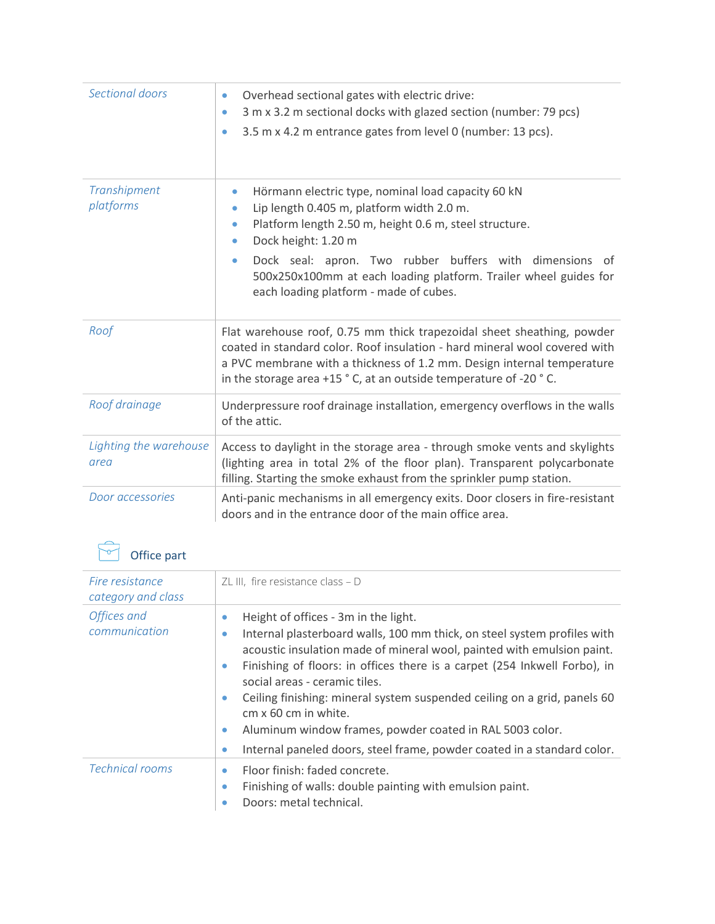| Sectional doors                | Overhead sectional gates with electric drive:<br>$\bullet$<br>3 m x 3.2 m sectional docks with glazed section (number: 79 pcs)<br>$\bullet$<br>3.5 m x 4.2 m entrance gates from level 0 (number: 13 pcs).<br>$\bullet$                                                                                                                                                                    |
|--------------------------------|--------------------------------------------------------------------------------------------------------------------------------------------------------------------------------------------------------------------------------------------------------------------------------------------------------------------------------------------------------------------------------------------|
| Transhipment<br>platforms      | Hörmann electric type, nominal load capacity 60 kN<br>$\bullet$<br>Lip length 0.405 m, platform width 2.0 m.<br>۰<br>Platform length 2.50 m, height 0.6 m, steel structure.<br>۰<br>Dock height: 1.20 m<br>۰<br>Dock seal: apron. Two rubber buffers with dimensions of<br>۰<br>500x250x100mm at each loading platform. Trailer wheel guides for<br>each loading platform - made of cubes. |
| Roof                           | Flat warehouse roof, 0.75 mm thick trapezoidal sheet sheathing, powder<br>coated in standard color. Roof insulation - hard mineral wool covered with<br>a PVC membrane with a thickness of 1.2 mm. Design internal temperature<br>in the storage area +15 °C, at an outside temperature of -20 °C.                                                                                         |
| Roof drainage                  | Underpressure roof drainage installation, emergency overflows in the walls<br>of the attic.                                                                                                                                                                                                                                                                                                |
| Lighting the warehouse<br>area | Access to daylight in the storage area - through smoke vents and skylights<br>(lighting area in total 2% of the floor plan). Transparent polycarbonate<br>filling. Starting the smoke exhaust from the sprinkler pump station.                                                                                                                                                             |
| Door accessories               | Anti-panic mechanisms in all emergency exits. Door closers in fire-resistant<br>doors and in the entrance door of the main office area.                                                                                                                                                                                                                                                    |

## Office part

| Fire resistance<br>category and class | ZL III, fire resistance class $- D$                                                                                                                                                                                                                                                                                                                                                                                                                                                                                                                                                                       |
|---------------------------------------|-----------------------------------------------------------------------------------------------------------------------------------------------------------------------------------------------------------------------------------------------------------------------------------------------------------------------------------------------------------------------------------------------------------------------------------------------------------------------------------------------------------------------------------------------------------------------------------------------------------|
| Offices and<br>communication          | Height of offices - 3m in the light.<br>$\bullet$<br>Internal plasterboard walls, 100 mm thick, on steel system profiles with<br>$\bullet$<br>acoustic insulation made of mineral wool, painted with emulsion paint.<br>Finishing of floors: in offices there is a carpet (254 Inkwell Forbo), in<br>۰<br>social areas - ceramic tiles.<br>Ceiling finishing: mineral system suspended ceiling on a grid, panels 60<br>۰<br>cm x 60 cm in white.<br>Aluminum window frames, powder coated in RAL 5003 color.<br>$\bullet$<br>Internal paneled doors, steel frame, powder coated in a standard color.<br>٠ |
| <b>Technical rooms</b>                | Floor finish: faded concrete.<br>۰<br>Finishing of walls: double painting with emulsion paint.<br>۰<br>Doors: metal technical.                                                                                                                                                                                                                                                                                                                                                                                                                                                                            |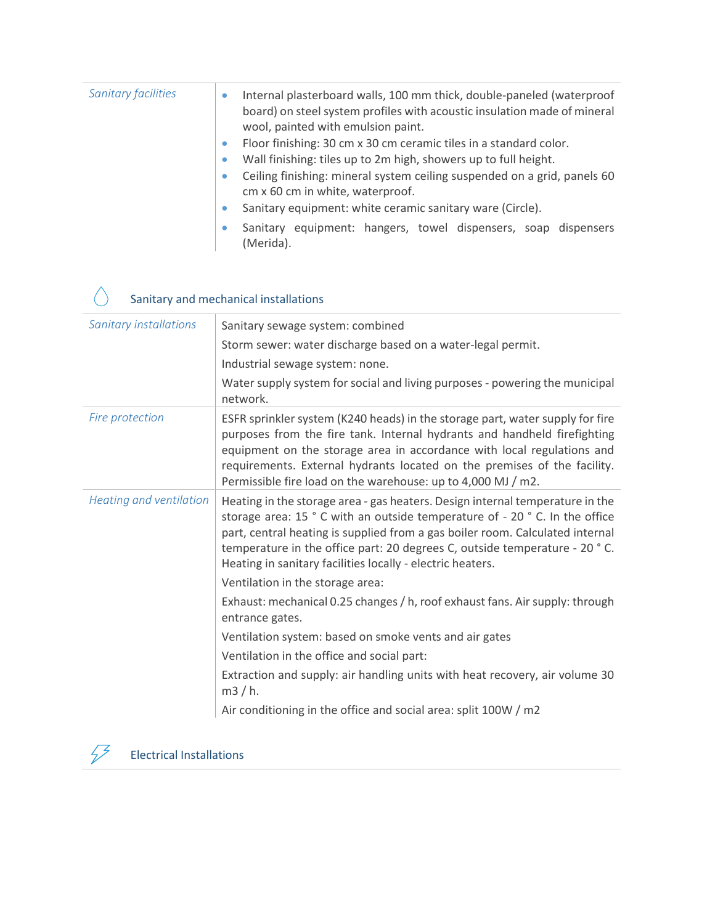| <b>Sanitary facilities</b> | $\bullet$ | Internal plasterboard walls, 100 mm thick, double-paneled (waterproof<br>board) on steel system profiles with acoustic insulation made of mineral<br>wool, painted with emulsion paint. |
|----------------------------|-----------|-----------------------------------------------------------------------------------------------------------------------------------------------------------------------------------------|
|                            | $\bullet$ | Floor finishing: 30 cm x 30 cm ceramic tiles in a standard color.                                                                                                                       |
|                            | $\bullet$ | Wall finishing: tiles up to 2m high, showers up to full height.                                                                                                                         |
|                            | $\bullet$ | Ceiling finishing: mineral system ceiling suspended on a grid, panels 60<br>cm x 60 cm in white, waterproof.                                                                            |
|                            | $\bullet$ | Sanitary equipment: white ceramic sanitary ware (Circle).                                                                                                                               |
|                            |           | Sanitary equipment: hangers, towel dispensers, soap dispensers<br>(Merida).                                                                                                             |

## Sanitary and mechanical installations

| <b>Sanitary installations</b> | Sanitary sewage system: combined                                                                                                                                                                                                                                                                                                                                                          |
|-------------------------------|-------------------------------------------------------------------------------------------------------------------------------------------------------------------------------------------------------------------------------------------------------------------------------------------------------------------------------------------------------------------------------------------|
|                               | Storm sewer: water discharge based on a water-legal permit.                                                                                                                                                                                                                                                                                                                               |
|                               | Industrial sewage system: none.                                                                                                                                                                                                                                                                                                                                                           |
|                               | Water supply system for social and living purposes - powering the municipal<br>network.                                                                                                                                                                                                                                                                                                   |
| Fire protection               | ESFR sprinkler system (K240 heads) in the storage part, water supply for fire<br>purposes from the fire tank. Internal hydrants and handheld firefighting<br>equipment on the storage area in accordance with local regulations and<br>requirements. External hydrants located on the premises of the facility.<br>Permissible fire load on the warehouse: up to 4,000 MJ / m2.           |
| Heating and ventilation       | Heating in the storage area - gas heaters. Design internal temperature in the<br>storage area: 15 ° C with an outside temperature of - 20 ° C. In the office<br>part, central heating is supplied from a gas boiler room. Calculated internal<br>temperature in the office part: 20 degrees C, outside temperature - 20 °C.<br>Heating in sanitary facilities locally - electric heaters. |
|                               | Ventilation in the storage area:                                                                                                                                                                                                                                                                                                                                                          |
|                               | Exhaust: mechanical 0.25 changes / h, roof exhaust fans. Air supply: through<br>entrance gates.                                                                                                                                                                                                                                                                                           |
|                               | Ventilation system: based on smoke vents and air gates                                                                                                                                                                                                                                                                                                                                    |
|                               | Ventilation in the office and social part:                                                                                                                                                                                                                                                                                                                                                |
|                               | Extraction and supply: air handling units with heat recovery, air volume 30<br>m3/h.                                                                                                                                                                                                                                                                                                      |
|                               | Air conditioning in the office and social area: split 100W / m2                                                                                                                                                                                                                                                                                                                           |



 $\bigwedge$